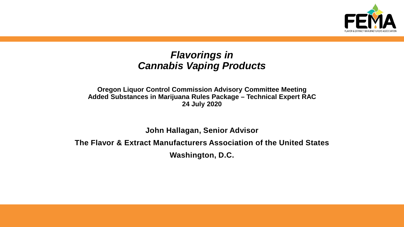

#### *Flavorings in Cannabis Vaping Products*

**Oregon Liquor Control Commission Advisory Committee Meeting Added Substances in Marijuana Rules Package – Technical Expert RAC 24 July 2020**

**John Hallagan, Senior Advisor**

**The Flavor & Extract Manufacturers Association of the United States**

**Washington, D.C.**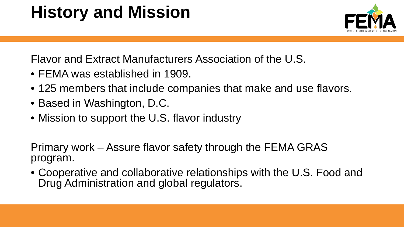## **History and Mission**

Flavor and Extract Manufacturers Association of the U.S.

- FEMA was established in 1909.
- 125 members that include companies that make and use flavors.
- Based in Washington, D.C.
- Mission to support the U.S. flavor industry

Primary work – Assure flavor safety through the FEMA GRAS program.

• Cooperative and collaborative relationships with the U.S. Food and Drug Administration and global regulators.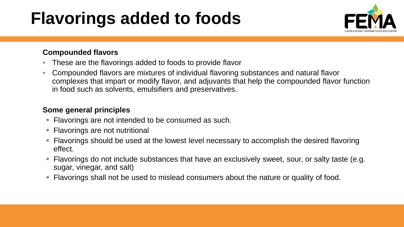## **Flavorings added to foods**



#### **Compounded flavors**

- These are the flavorings added to foods to provide flavor
- Compounded flavors are mixtures of individual flavoring substances and natural flavor complexes that impart or modify flavor, and adjuvants that help the compounded flavor function in food such as solvents, emulsifiers and preservatives.

#### **Some general principles**

- Flavorings are not intended to be consumed as such.
- Flavorings are not nutritional
- Flavorings should be used at the lowest level necessary to accomplish the desired flavoring effect.
- Flavorings do not include substances that have an exclusively sweet, sour, or salty taste (e.g. sugar, vinegar, and salt)
- **Filavorings shall not be used to mislead consumers about the nature or quality of food.**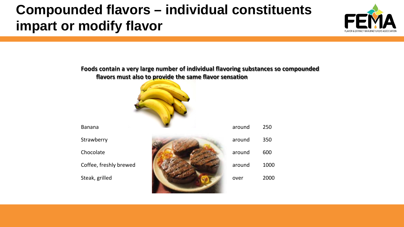### **Compounded flavors – individual constituents impart or modify flavor**



#### **Foods contain a very large number of individual flavoring substances so compounded flavors must also to provide the same flavor sensation**





| <b>Banana</b>          | around | 250  |
|------------------------|--------|------|
| Strawberry             | around | 350  |
| Chocolate              | around | 600  |
| Coffee, freshly brewed | around | 1000 |
| Steak, grilled         | over   | 2000 |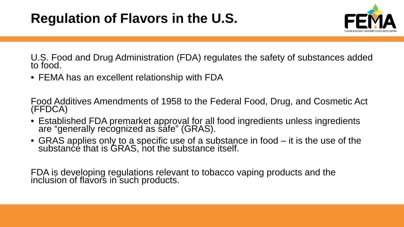

U.S. Food and Drug Administration (FDA) regulates the safety of substances added to food.

• FEMA has an excellent relationship with FDA

Food Additives Amendments of 1958 to the Federal Food, Drug, and Cosmetic Act (FFDCA)

- Established FDA premarket approval for all food ingredients unless ingredients are "generally recognized as safe" (GRAS).
- GRAS applies only to a specific use of a substance in food it is the use of the substance that is GRAS, not the substance itself.

FDA is developing regulations relevant to tobacco vaping products and the inclusion of flavors in such products.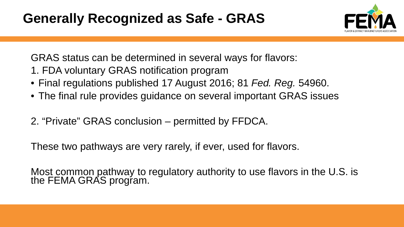### **Generally Recognized as Safe - GRAS**



GRAS status can be determined in several ways for flavors:

- 1. FDA voluntary GRAS notification program
- Final regulations published 17 August 2016; 81 *Fed. Reg.* 54960.
- The final rule provides guidance on several important GRAS issues
- 2. "Private" GRAS conclusion permitted by FFDCA.

These two pathways are very rarely, if ever, used for flavors.

Most common pathway to regulatory authority to use flavors in the U.S. is the FEMA GRAS progŕam.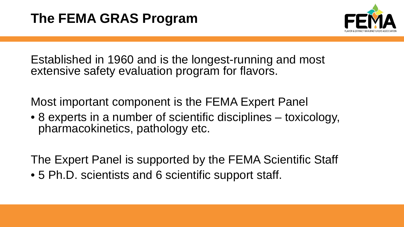

Established in 1960 and is the longest-running and most extensive safety evaluation program for flavors.

Most important component is the FEMA Expert Panel

• 8 experts in a number of scientific disciplines – toxicology, pharmacokinetics, pathology etc.

The Expert Panel is supported by the FEMA Scientific Staff

• 5 Ph.D. scientists and 6 scientific support staff.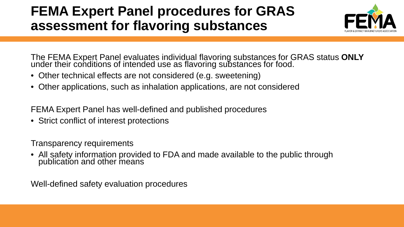### **FEMA Expert Panel procedures for GRAS assessment for flavoring substances**



The FEMA Expert Panel evaluates individual flavoring substances for GRAS status **ONLY** under their conditions of intended use as flavoring substances for food.

- Other technical effects are not considered (e.g. sweetening)
- Other applications, such as inhalation applications, are not considered

FEMA Expert Panel has well-defined and published procedures

• Strict conflict of interest protections

Transparency requirements

• All safety information provided to FDA and made available to the public through publication and other means

Well-defined safety evaluation procedures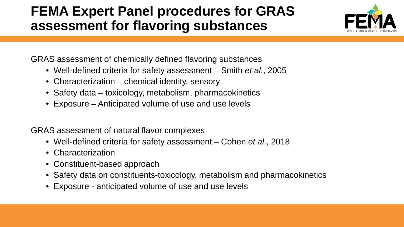### **FEMA Expert Panel procedures for GRAS assessment for flavoring substances**



GRAS assessment of chemically defined flavoring substances

- Well-defined criteria for safety assessment Smith *et al*., 2005
- Characterization chemical identity, sensory
- Safety data toxicology, metabolism, pharmacokinetics
- Exposure Anticipated volume of use and use levels

GRAS assessment of natural flavor complexes

- Well-defined criteria for safety assessment Cohen *et al*., 2018
- Characterization
- Constituent-based approach
- Safety data on constituents-toxicology, metabolism and pharmacokinetics
- Exposure anticipated volume of use and use levels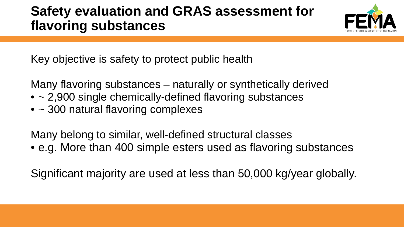### **Safety evaluation and GRAS assessment for flavoring substances**



Key objective is safety to protect public health

Many flavoring substances – naturally or synthetically derived

- ~ 2,900 single chemically-defined flavoring substances
- ~ 300 natural flavoring complexes

Many belong to similar, well-defined structural classes

• e.g. More than 400 simple esters used as flavoring substances

Significant majority are used at less than 50,000 kg/year globally.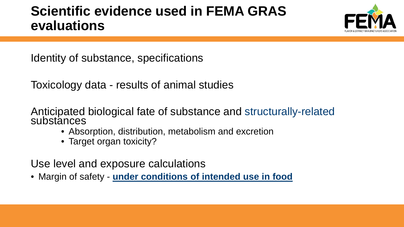### **Scientific evidence used in FEMA GRAS evaluations**



Identity of substance, specifications

Toxicology data - results of animal studies

Anticipated biological fate of substance and structurally-related substances

- Absorption, distribution, metabolism and excretion
- Target organ toxicity?

Use level and exposure calculations

• Margin of safety - **under conditions of intended use in food**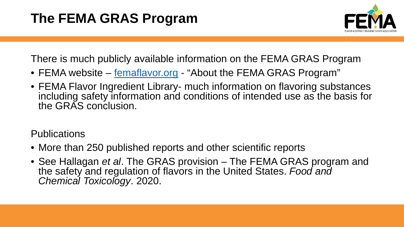

There is much publicly available information on the FEMA GRAS Program

- FEMA website [femaflavor.org](http://www.femaflavor.org/) "About the FEMA GRAS Program"
- FEMA Flavor Ingredient Library- much information on flavoring substances including safety information and conditions of intended use as the basis for the GRAS conclusion.

**Publications** 

- More than 250 published reports and other scientific reports
- See Hallagan *et al*. The GRAS provision The FEMA GRAS program and the safety and regulation of flavors in the United States. *Food and Chemical Toxicology*. 2020.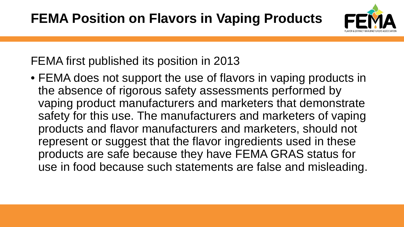

#### FEMA first published its position in 2013

• FEMA does not support the use of flavors in vaping products in the absence of rigorous safety assessments performed by vaping product manufacturers and marketers that demonstrate safety for this use. The manufacturers and marketers of vaping products and flavor manufacturers and marketers, should not represent or suggest that the flavor ingredients used in these products are safe because they have FEMA GRAS status for use in food because such statements are false and misleading.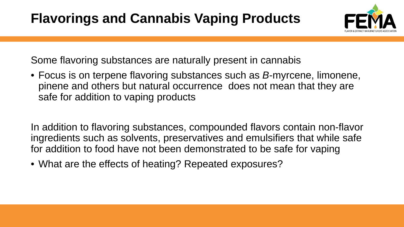

Some flavoring substances are naturally present in cannabis

• Focus is on terpene flavoring substances such as *B*-myrcene, limonene, pinene and others but natural occurrence does not mean that they are safe for addition to vaping products

In addition to flavoring substances, compounded flavors contain non-flavor ingredients such as solvents, preservatives and emulsifiers that while safe for addition to food have not been demonstrated to be safe for vaping

• What are the effects of heating? Repeated exposures?